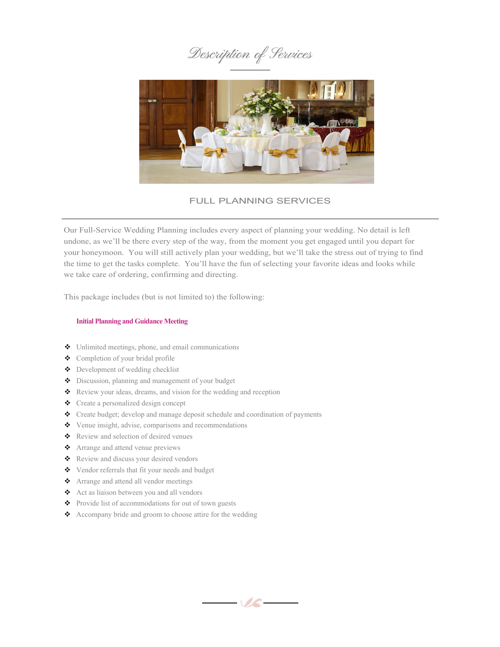



## FULL PLANNING SERVICES

Our Full-Service Wedding Planning includes every aspect of planning your wedding. No detail is left undone, as we'll be there every step of the way, from the moment you get engaged until you depart for your honeymoon. You will still actively plan your wedding, but we'll take the stress out of trying to find the time to get the tasks complete. You'll have the fun of selecting your favorite ideas and looks while we take care of ordering, confirming and directing.

This package includes (but is not limited to) the following:

### **Initial Planning and Guidance Meeting**

- Unlimited meetings, phone, and email communications
- Completion of your bridal profile
- 
- Development of wedding checklist
- Discussion, planning and management of your budget
- \* Review your ideas, dreams, and vision for the wedding and reception
- Create a personalized design concept
- Create budget; develop and manage deposit schedule and coordination of payments
- Venue insight, advise, comparisons and recommendations
- Review and selection of desired venues
- Arrange and attend venue previews
- Review and discuss your desired vendors
- Vendor referrals that fit your needs and budget
- Arrange and attend all vendor meetings
- Act as liaison between you and all vendors
- Provide list of accommodations for out of town guests
- Accompany bride and groom to choose attire for the wedding